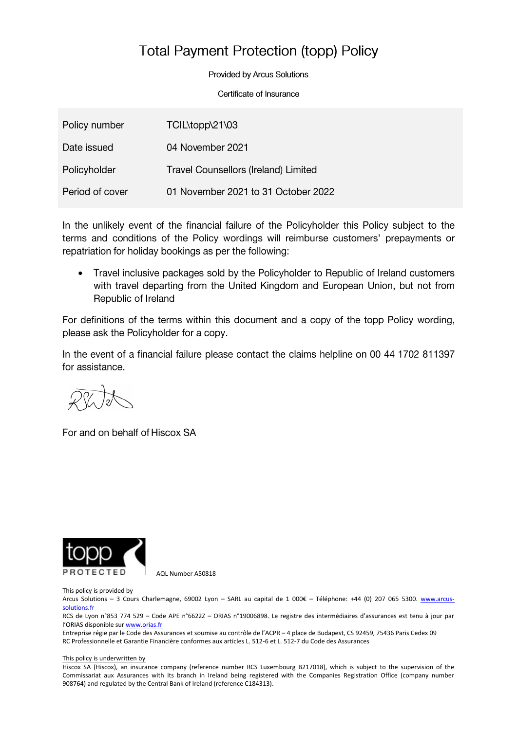# **Total Payment Protection (topp) Policy**

**Provided by Arcus Solutions** 

Certificate of Insurance

| Policy number   | TCIL\topp\21\03                             |
|-----------------|---------------------------------------------|
| Date issued     | 04 November 2021                            |
| Policyholder    | <b>Travel Counsellors (Ireland) Limited</b> |
| Period of cover | 01 November 2021 to 31 October 2022         |

In the unlikely event of the financial failure of the Policyholder this Policy subject to the terms and conditions of the Policy wordings will reimburse customers' prepayments or repatriation for holiday bookings as per the following:

Travel inclusive packages sold by the Policyholder to Republic of Ireland customers •with travel departing from the United Kingdom and European Union, but not from Republic of Ireland

For definitions of the terms within this document and a copy of the topp Policy wording, please ask the Policyholder for a copy.

In the event of a financial failure please contact the claims helpline on 00 44 1702 811397 for assistance.

For and on behalf of Hiscox SA



AQL Number A50818

## This policy is provided by

Arcus Solutions – 3 Cours Charlemagne, 69002 Lyon – SARL au capital de 1 000€ – Téléphone: +44 (0) 207 065 5300. [www.arcus](http://www.arcus-solutions.fr/)[solutions.fr](http://www.arcus-solutions.fr/)

RCS de Lyon n°853 774 529 – Code APE n°6622Z – ORIAS n°19006898. Le registre des intermédiaires d'assurances est tenu à jour par l'ORIAS disponible sur **[www.orias.fr](http://www.orias.fr/)** 

Entreprise régie par le Code des Assurances et soumise au contrôle de l'ACPR – 4 place de Budapest, CS 92459, 75436 Paris Cedex 09 RC Professionnelle et Garantie Financière conformes aux articles L. 512-6 et L. 512-7 du Code des Assurances

### This policy is underwritten by

Hiscox SA (Hiscox), an insurance company (reference number RCS Luxembourg B217018), which is subject to the supervision of the Commissariat aux Assurances with its branch in Ireland being registered with the Companies Registration Office (company number 908764) and regulated by the Central Bank of Ireland (reference C184313).